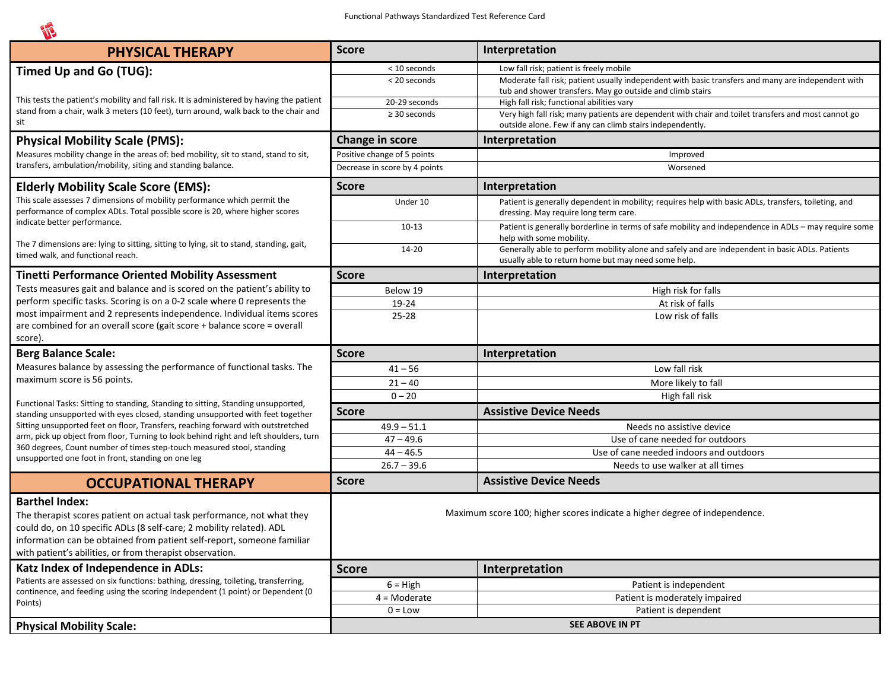| <b>PHYSICAL THERAPY</b>                                                                                                                                                                                                                                                                                                                                                                                                                                                          | <b>Score</b>                                                               | Interpretation                                                                                                                                                   |  |  |  |  |  |
|----------------------------------------------------------------------------------------------------------------------------------------------------------------------------------------------------------------------------------------------------------------------------------------------------------------------------------------------------------------------------------------------------------------------------------------------------------------------------------|----------------------------------------------------------------------------|------------------------------------------------------------------------------------------------------------------------------------------------------------------|--|--|--|--|--|
| Timed Up and Go (TUG):                                                                                                                                                                                                                                                                                                                                                                                                                                                           | < 10 seconds                                                               | Low fall risk; patient is freely mobile                                                                                                                          |  |  |  |  |  |
|                                                                                                                                                                                                                                                                                                                                                                                                                                                                                  | < 20 seconds                                                               | Moderate fall risk; patient usually independent with basic transfers and many are independent with                                                               |  |  |  |  |  |
| This tests the patient's mobility and fall risk. It is administered by having the patient<br>stand from a chair, walk 3 meters (10 feet), turn around, walk back to the chair and                                                                                                                                                                                                                                                                                                |                                                                            | tub and shower transfers. May go outside and climb stairs                                                                                                        |  |  |  |  |  |
|                                                                                                                                                                                                                                                                                                                                                                                                                                                                                  | 20-29 seconds<br>$\geq$ 30 seconds                                         | High fall risk; functional abilities vary                                                                                                                        |  |  |  |  |  |
| sit                                                                                                                                                                                                                                                                                                                                                                                                                                                                              |                                                                            | Very high fall risk; many patients are dependent with chair and toilet transfers and most cannot go<br>outside alone. Few if any can climb stairs independently. |  |  |  |  |  |
| <b>Physical Mobility Scale (PMS):</b>                                                                                                                                                                                                                                                                                                                                                                                                                                            | Change in score                                                            | Interpretation                                                                                                                                                   |  |  |  |  |  |
| Measures mobility change in the areas of: bed mobility, sit to stand, stand to sit,                                                                                                                                                                                                                                                                                                                                                                                              | Positive change of 5 points                                                | Improved                                                                                                                                                         |  |  |  |  |  |
| transfers, ambulation/mobility, siting and standing balance.                                                                                                                                                                                                                                                                                                                                                                                                                     | Decrease in score by 4 points                                              | Worsened                                                                                                                                                         |  |  |  |  |  |
| <b>Elderly Mobility Scale Score (EMS):</b><br>This scale assesses 7 dimensions of mobility performance which permit the<br>performance of complex ADLs. Total possible score is 20, where higher scores<br>indicate better performance.                                                                                                                                                                                                                                          | <b>Score</b>                                                               | Interpretation                                                                                                                                                   |  |  |  |  |  |
|                                                                                                                                                                                                                                                                                                                                                                                                                                                                                  | Under 10                                                                   | Patient is generally dependent in mobility; requires help with basic ADLs, transfers, toileting, and<br>dressing. May require long term care.                    |  |  |  |  |  |
|                                                                                                                                                                                                                                                                                                                                                                                                                                                                                  | $10 - 13$                                                                  | Patient is generally borderline in terms of safe mobility and independence in ADLs - may require some<br>help with some mobility.                                |  |  |  |  |  |
| The 7 dimensions are: lying to sitting, sitting to lying, sit to stand, standing, gait,<br>timed walk, and functional reach.                                                                                                                                                                                                                                                                                                                                                     | 14-20                                                                      | Generally able to perform mobility alone and safely and are independent in basic ADLs. Patients<br>usually able to return home but may need some help.           |  |  |  |  |  |
| <b>Tinetti Performance Oriented Mobility Assessment</b>                                                                                                                                                                                                                                                                                                                                                                                                                          | <b>Score</b>                                                               | Interpretation                                                                                                                                                   |  |  |  |  |  |
| Tests measures gait and balance and is scored on the patient's ability to                                                                                                                                                                                                                                                                                                                                                                                                        | Below 19                                                                   | High risk for falls                                                                                                                                              |  |  |  |  |  |
| perform specific tasks. Scoring is on a 0-2 scale where 0 represents the                                                                                                                                                                                                                                                                                                                                                                                                         | 19-24                                                                      | At risk of falls                                                                                                                                                 |  |  |  |  |  |
| most impairment and 2 represents independence. Individual items scores<br>are combined for an overall score (gait score + balance score = overall                                                                                                                                                                                                                                                                                                                                | $25 - 28$                                                                  | Low risk of falls                                                                                                                                                |  |  |  |  |  |
| score).<br><b>Berg Balance Scale:</b>                                                                                                                                                                                                                                                                                                                                                                                                                                            | <b>Score</b>                                                               | Interpretation                                                                                                                                                   |  |  |  |  |  |
| Measures balance by assessing the performance of functional tasks. The<br>maximum score is 56 points.                                                                                                                                                                                                                                                                                                                                                                            | $41 - 56$                                                                  | Low fall risk                                                                                                                                                    |  |  |  |  |  |
|                                                                                                                                                                                                                                                                                                                                                                                                                                                                                  | $21 - 40$                                                                  | More likely to fall                                                                                                                                              |  |  |  |  |  |
| Functional Tasks: Sitting to standing, Standing to sitting, Standing unsupported,<br>standing unsupported with eyes closed, standing unsupported with feet together<br>Sitting unsupported feet on floor, Transfers, reaching forward with outstretched<br>arm, pick up object from floor, Turning to look behind right and left shoulders, turn<br>360 degrees, Count number of times step-touch measured stool, standing<br>unsupported one foot in front, standing on one leg | $0 - 20$                                                                   | High fall risk                                                                                                                                                   |  |  |  |  |  |
|                                                                                                                                                                                                                                                                                                                                                                                                                                                                                  | <b>Score</b>                                                               | <b>Assistive Device Needs</b>                                                                                                                                    |  |  |  |  |  |
|                                                                                                                                                                                                                                                                                                                                                                                                                                                                                  | $49.9 - 51.1$                                                              | Needs no assistive device                                                                                                                                        |  |  |  |  |  |
|                                                                                                                                                                                                                                                                                                                                                                                                                                                                                  | $47 - 49.6$                                                                | Use of cane needed for outdoors                                                                                                                                  |  |  |  |  |  |
|                                                                                                                                                                                                                                                                                                                                                                                                                                                                                  | $44 - 46.5$                                                                | Use of cane needed indoors and outdoors                                                                                                                          |  |  |  |  |  |
|                                                                                                                                                                                                                                                                                                                                                                                                                                                                                  | $26.7 - 39.6$                                                              | Needs to use walker at all times                                                                                                                                 |  |  |  |  |  |
| <b>OCCUPATIONAL THERAPY</b>                                                                                                                                                                                                                                                                                                                                                                                                                                                      | <b>Score</b>                                                               | <b>Assistive Device Needs</b>                                                                                                                                    |  |  |  |  |  |
| <b>Barthel Index:</b><br>The therapist scores patient on actual task performance, not what they<br>could do, on 10 specific ADLs (8 self-care; 2 mobility related). ADL<br>information can be obtained from patient self-report, someone familiar<br>with patient's abilities, or from therapist observation.                                                                                                                                                                    | Maximum score 100; higher scores indicate a higher degree of independence. |                                                                                                                                                                  |  |  |  |  |  |
| Katz Index of Independence in ADLs:<br>Patients are assessed on six functions: bathing, dressing, toileting, transferring,<br>continence, and feeding using the scoring Independent (1 point) or Dependent (0<br>Points)                                                                                                                                                                                                                                                         | <b>Score</b>                                                               | Interpretation                                                                                                                                                   |  |  |  |  |  |
|                                                                                                                                                                                                                                                                                                                                                                                                                                                                                  | $6 = High$                                                                 | Patient is independent                                                                                                                                           |  |  |  |  |  |
|                                                                                                                                                                                                                                                                                                                                                                                                                                                                                  | $4 =$ Moderate                                                             | Patient is moderately impaired                                                                                                                                   |  |  |  |  |  |
|                                                                                                                                                                                                                                                                                                                                                                                                                                                                                  | $0 = Low$                                                                  | Patient is dependent                                                                                                                                             |  |  |  |  |  |
| <b>Physical Mobility Scale:</b>                                                                                                                                                                                                                                                                                                                                                                                                                                                  | SEE ABOVE IN PT                                                            |                                                                                                                                                                  |  |  |  |  |  |